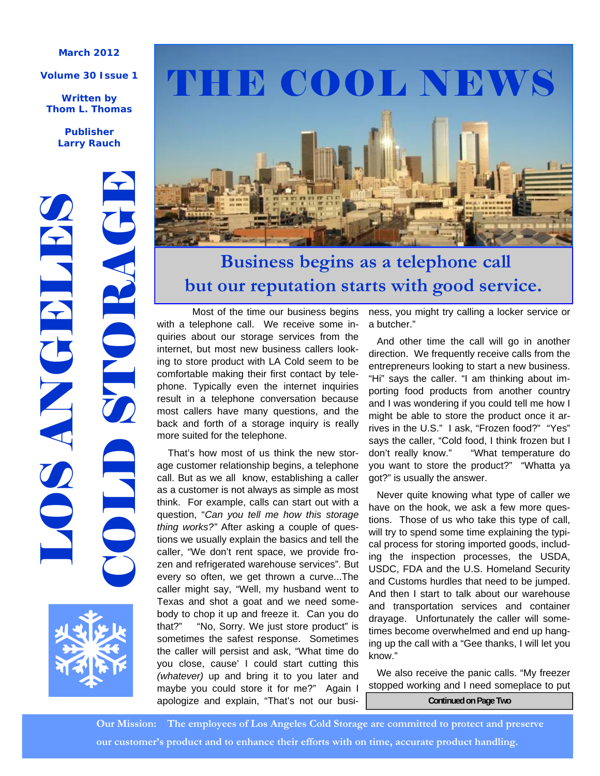#### **March 2012**

#### **Volume 30 Issue 1**

**Written by Thom L. Thomas** 

> **Publisher Larry Rauch**





# THE COOL NEWS



# **Business begins as a telephone call but our reputation starts with good service.**

 Most of the time our business begins with a telephone call. We receive some inquiries about our storage services from the internet, but most new business callers looking to store product with LA Cold seem to be comfortable making their first contact by telephone. Typically even the internet inquiries result in a telephone conversation because most callers have many questions, and the back and forth of a storage inquiry is really more suited for the telephone.

 That's how most of us think the new storage customer relationship begins, a telephone call. But as we all know, establishing a caller as a customer is not always as simple as most think. For example, calls can start out with a question, "*Can you tell me how this storage thing works?"* After asking a couple of questions we usually explain the basics and tell the caller, "We don't rent space, we provide frozen and refrigerated warehouse services". But every so often, we get thrown a curve...The caller might say, "Well, my husband went to Texas and shot a goat and we need somebody to chop it up and freeze it. Can you do that?" "No, Sorry. We just store product" is sometimes the safest response. Sometimes the caller will persist and ask, "What time do you close, cause' I could start cutting this *(whatever)* up and bring it to you later and maybe you could store it for me?" Again I apologize and explain, "That's not our busi- **Continued on Page Two** 

ness, you might try calling a locker service or a butcher."

 And other time the call will go in another direction. We frequently receive calls from the entrepreneurs looking to start a new business. "Hi" says the caller. "I am thinking about importing food products from another country and I was wondering if you could tell me how I might be able to store the product once it arrives in the U.S." I ask, "Frozen food?" "Yes" says the caller, "Cold food, I think frozen but I don't really know." "What temperature do you want to store the product?" "Whatta ya got?" is usually the answer.

 Never quite knowing what type of caller we have on the hook, we ask a few more questions. Those of us who take this type of call, will try to spend some time explaining the typical process for storing imported goods, including the inspection processes, the USDA, USDC, FDA and the U.S. Homeland Security and Customs hurdles that need to be jumped. And then I start to talk about our warehouse and transportation services and container drayage. Unfortunately the caller will sometimes become overwhelmed and end up hanging up the call with a "Gee thanks, I will let you know."

 We also receive the panic calls. "My freezer stopped working and I need someplace to put

 **Our Mission: The employees of Los Angeles Cold Storage are committed to protect and preserve our customer's product and to enhance their efforts with on time, accurate product handling.**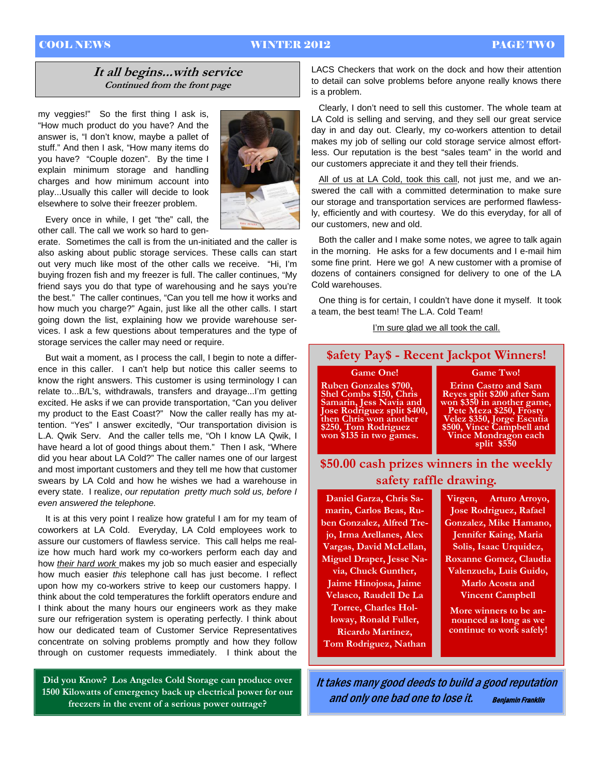### COOL NEWS WINTER 2012 PAGE TWO

## **It all begins...with service Continued from the front page**

my veggies!" So the first thing I ask is, "How much product do you have? And the answer is, "I don't know, maybe a pallet of stuff." And then I ask, "How many items do you have? "Couple dozen". By the time I explain minimum storage and handling charges and how minimum account into play...Usually this caller will decide to look elsewhere to solve their freezer problem.

 Every once in while, I get "the" call, the other call. The call we work so hard to gen-

erate. Sometimes the call is from the un-initiated and the caller is also asking about public storage services. These calls can start out very much like most of the other calls we receive. "Hi, I'm buying frozen fish and my freezer is full. The caller continues, "My friend says you do that type of warehousing and he says you're the best." The caller continues, "Can you tell me how it works and how much you charge?" Again, just like all the other calls. I start going down the list, explaining how we provide warehouse services. I ask a few questions about temperatures and the type of storage services the caller may need or require.

 But wait a moment, as I process the call, I begin to note a difference in this caller. I can't help but notice this caller seems to know the right answers. This customer is using terminology I can relate to...B/L's, withdrawals, transfers and drayage...I'm getting excited. He asks if we can provide transportation, "Can you deliver my product to the East Coast?" Now the caller really has my attention. "Yes" I answer excitedly, "Our transportation division is L.A. Qwik Serv. And the caller tells me, "Oh I know LA Qwik, I have heard a lot of good things about them." Then I ask, "Where did you hear about LA Cold?" The caller names one of our largest and most important customers and they tell me how that customer swears by LA Cold and how he wishes we had a warehouse in every state. I realize, *our reputation pretty much sold us, before I even answered the telephone.* 

 It is at this very point I realize how grateful I am for my team of coworkers at LA Cold. Everyday, LA Cold employees work to assure our customers of flawless service. This call helps me realize how much hard work my co-workers perform each day and how *their hard work* makes my job so much easier and especially how much easier *this* telephone call has just become. I reflect upon how my co-workers strive to keep our customers happy. I think about the cold temperatures the forklift operators endure and I think about the many hours our engineers work as they make sure our refrigeration system is operating perfectly. I think about how our dedicated team of Customer Service Representatives concentrate on solving problems promptly and how they follow through on customer requests immediately. I think about the

**Did you Know? Los Angeles Cold Storage can produce over 1500 Kilowatts of emergency back up electrical power for our freezers in the event of a serious power outrage?** 

LACS Checkers that work on the dock and how their attention to detail can solve problems before anyone really knows there is a problem.

 Clearly, I don't need to sell this customer. The whole team at LA Cold is selling and serving, and they sell our great service day in and day out. Clearly, my co-workers attention to detail makes my job of selling our cold storage service almost effortless. Our reputation is the best "sales team" in the world and our customers appreciate it and they tell their friends.

 All of us at LA Cold, took this call, not just me, and we answered the call with a committed determination to make sure our storage and transportation services are performed flawlessly, efficiently and with courtesy. We do this everyday, for all of our customers, new and old.

 Both the caller and I make some notes, we agree to talk again in the morning. He asks for a few documents and I e-mail him some fine print. Here we go! A new customer with a promise of dozens of containers consigned for delivery to one of the LA Cold warehouses.

 One thing is for certain, I couldn't have done it myself. It took a team, the best team! The L.A. Cold Team!

#### I'm sure glad we all took the call.

## **\$afety Pay\$ - Recent Jackpot Winners!**

#### **Game One!**

**Ruben Gonzales \$700, Shel Combs \$150, Chris Samarin, Jess Navia and Jose Rodriguez split \$400, then Chris won another \$250, Tom Rodriguez won \$135 in two games.** 

**Erinn Castro and Sam Reyes split \$200 after Sam won \$350 in another game, Pete Meza \$250, Frosty Velez \$350, Jorge Escutia \$500, Vince Campbell and Vince Mondragon each split \$550** 

**Game Two!** 

**\$50.00 cash prizes winners in the weekly safety raffle drawing.** 

**Daniel Garza, Chris Samarin, Carlos Beas, Ruben Gonzalez, Alfred Trejo, Irma Arellanes, Alex Vargas, David McLellan, Miguel Draper, Jesse Navia, Chuck Gunther, Jaime Hinojosa, Jaime Velasco, Raudell De La Torree, Charles Holloway, Ronald Fuller, Ricardo Martinez, Tom Rodriguez, Nathan** 

**Virgen, Arturo Arroyo, Jose Rodriguez, Rafael Gonzalez, Mike Hamano, Jennifer Kaing, Maria Solis, Isaac Urquidez, Roxanne Gomez, Claudia Valenzuela, Luis Guido, Marlo Acosta and Vincent Campbell** 

**More winners to be announced as long as we continue to work safely!**

It takes many good deeds to build a good reputation and only one bad one to lose it. Benjamin Franklin

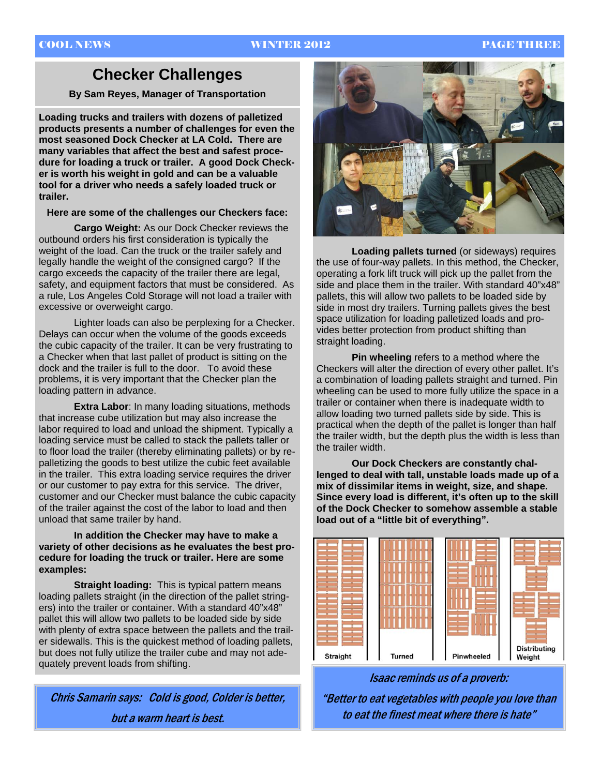### COOL NEWS WINTER 2012 PAGE THREE

## **Checker Challenges**

**By Sam Reyes, Manager of Transportation** 

**Loading trucks and trailers with dozens of palletized products presents a number of challenges for even the most seasoned Dock Checker at LA Cold. There are many variables that affect the best and safest procedure for loading a truck or trailer. A good Dock Checker is worth his weight in gold and can be a valuable tool for a driver who needs a safely loaded truck or trailer.** 

#### **Here are some of the challenges our Checkers face:**

**Cargo Weight:** As our Dock Checker reviews the outbound orders his first consideration is typically the weight of the load. Can the truck or the trailer safely and legally handle the weight of the consigned cargo? If the cargo exceeds the capacity of the trailer there are legal, safety, and equipment factors that must be considered. As a rule, Los Angeles Cold Storage will not load a trailer with excessive or overweight cargo.

Lighter loads can also be perplexing for a Checker. Delays can occur when the volume of the goods exceeds the cubic capacity of the trailer. It can be very frustrating to a Checker when that last pallet of product is sitting on the dock and the trailer is full to the door. To avoid these problems, it is very important that the Checker plan the loading pattern in advance.

**Extra Labor:** In many loading situations, methods that increase cube utilization but may also increase the labor required to load and unload the shipment. Typically a loading service must be called to stack the pallets taller or to floor load the trailer (thereby eliminating pallets) or by repalletizing the goods to best utilize the cubic feet available in the trailer. This extra loading service requires the driver or our customer to pay extra for this service. The driver, customer and our Checker must balance the cubic capacity of the trailer against the cost of the labor to load and then unload that same trailer by hand.

#### **In addition the Checker may have to make a variety of other decisions as he evaluates the best procedure for loading the truck or trailer. Here are some examples:**

**Straight loading:** This is typical pattern means loading pallets straight (in the direction of the pallet stringers) into the trailer or container. With a standard 40"x48" pallet this will allow two pallets to be loaded side by side with plenty of extra space between the pallets and the trailer sidewalls. This is the quickest method of loading pallets, but does not fully utilize the trailer cube and may not adequately prevent loads from shifting.

Chris Samarin says: Cold is good, Colder is better, but a warm heart is best.



**Loading pallets turned** (or sideways) requires the use of four-way pallets. In this method, the Checker, operating a fork lift truck will pick up the pallet from the side and place them in the trailer. With standard 40"x48" pallets, this will allow two pallets to be loaded side by side in most dry trailers. Turning pallets gives the best space utilization for loading palletized loads and provides better protection from product shifting than straight loading.

**Pin wheeling** refers to a method where the Checkers will alter the direction of every other pallet. It's a combination of loading pallets straight and turned. Pin wheeling can be used to more fully utilize the space in a trailer or container when there is inadequate width to allow loading two turned pallets side by side. This is practical when the depth of the pallet is longer than half the trailer width, but the depth plus the width is less than the trailer width.

 **Our Dock Checkers are constantly challenged to deal with tall, unstable loads made up of a mix of dissimilar items in weight, size, and shape. Since every load is different, it's often up to the skill of the Dock Checker to somehow assemble a stable load out of a "little bit of everything".** 



Isaac reminds us of a proverb:

"Better to eat vegetables with people you love than to eat the finest meat where there is hate"